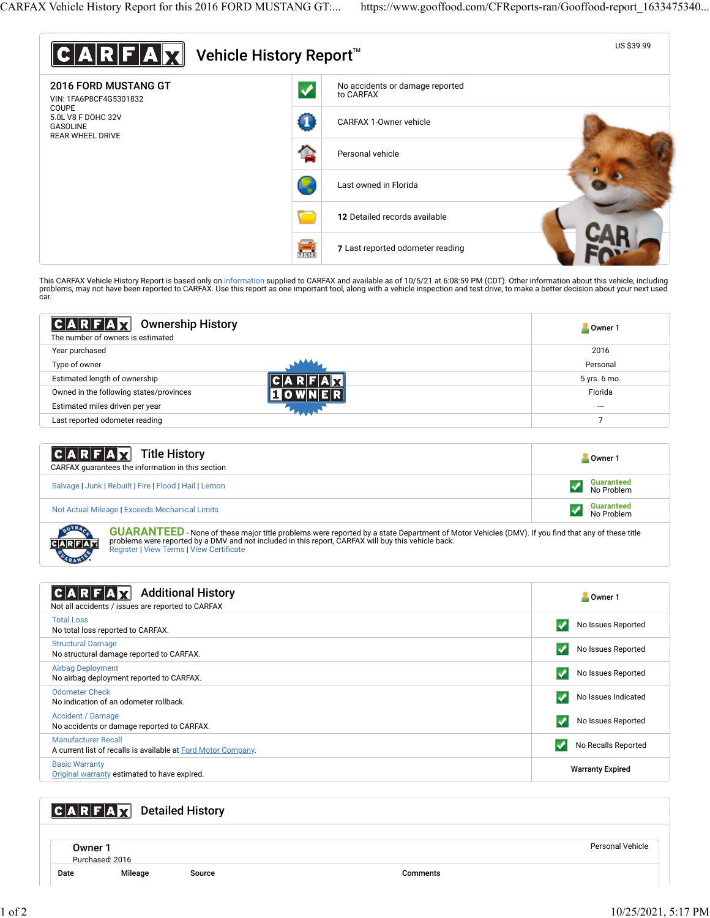

This CARFAX Vehicle History Report is based only on [information](http://www.carfax.com/company/vhr-data-sources) supplied to CARFAX and available as of 10/5/21 at 6:08:59 PM (CDT). Other information about this vehicle, including<br>problems, may not have been reported to CA car.

| $ C A R F A $ $\mathbf{Z}$<br><b>Ownership History</b><br>The number of owners is estimated | Owner <sub>1</sub> |
|---------------------------------------------------------------------------------------------|--------------------|
| Year purchased                                                                              | 2016               |
| Type of owner                                                                               | Personal           |
| Estimated length of ownership                                                               | 5 yrs. 6 mo.       |
| Owned in the following states/provinces                                                     | Florida            |
| Estimated miles driven per year                                                             | ---                |
| Last reported odometer reading                                                              |                    |

| <b>CARFAX</b> Title History<br>CARFAX quarantees the information in this section | Owner 1                         |  |
|----------------------------------------------------------------------------------|---------------------------------|--|
| Salvage   Junk   Rebuilt   Fire   Flood   Hail   Lemon                           | <b>Guaranteed</b><br>No Problem |  |
| Not Actual Mileage   Exceeds Mechanical Limits                                   | <b>Guaranteed</b><br>No Problem |  |

**GUARANTEED** - None of these major title problems were reported by a state Department of Motor Vehicles (DMV). If you find that any of these title problems were reported by a DMV and not included in this report, CARFAX will buy this vehicle back.<br>[Register](https://www.carfax.com/Service/bbg) | [View Terms](http://www.carfaxonline.com/legal/bbgTerms) | [View Certi](https://www.gooffood.com/CFReports-ran/Gooffood-report_1633475340.html)ficate

| <b>Additional History</b><br>Not all accidents / issues are reported to CARFAX              | Owner 1                 |  |
|---------------------------------------------------------------------------------------------|-------------------------|--|
| <b>Total Loss</b><br>No total loss reported to CARFAX.                                      | No Issues Reported      |  |
| <b>Structural Damage</b><br>No structural damage reported to CARFAX.                        | No Issues Reported      |  |
| <b>Airbag Deployment</b><br>No airbag deployment reported to CARFAX.                        | No Issues Reported      |  |
| <b>Odometer Check</b><br>No indication of an odometer rollback.                             | No Issues Indicated     |  |
| <b>Accident / Damage</b><br>No accidents or damage reported to CARFAX.                      | No Issues Reported      |  |
| <b>Manufacturer Recall</b><br>A current list of recalls is available at Ford Motor Company. | No Recalls Reported     |  |
| <b>Basic Warranty</b><br>Original warranty estimated to have expired.                       | <b>Warranty Expired</b> |  |

# **CARFAX** Detailed History

Owner 1 Purchased: 2016

Date Mileage Source Comments

Personal Vehicle